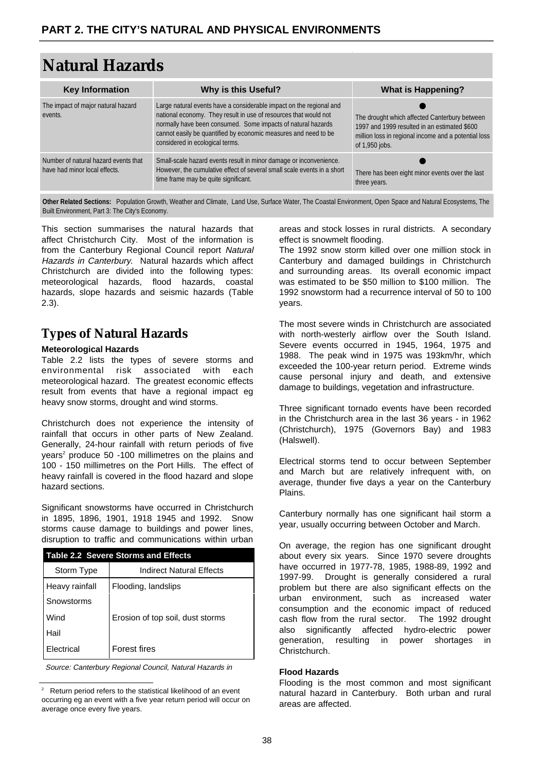# **Natural Hazards**

| <b>Key Information</b>                                                | Why is this Useful?                                                                                                                                                                                                                                                                                           | <b>What is Happening?</b>                                                                                                                                               |
|-----------------------------------------------------------------------|---------------------------------------------------------------------------------------------------------------------------------------------------------------------------------------------------------------------------------------------------------------------------------------------------------------|-------------------------------------------------------------------------------------------------------------------------------------------------------------------------|
| The impact of major natural hazard<br>events.                         | Large natural events have a considerable impact on the regional and<br>national economy. They result in use of resources that would not<br>normally have been consumed. Some impacts of natural hazards<br>cannot easily be quantified by economic measures and need to be<br>considered in ecological terms. | The drought which affected Canterbury between<br>1997 and 1999 resulted in an estimated \$600<br>million loss in regional income and a potential loss<br>of 1,950 jobs. |
| Number of natural hazard events that<br>have had minor local effects. | Small-scale hazard events result in minor damage or inconvenience.<br>However, the cumulative effect of several small scale events in a short<br>time frame may be quite significant.                                                                                                                         | There has been eight minor events over the last<br>three years.                                                                                                         |

**Other Related Sections:** Population Growth, Weather and Climate, Land Use, Surface Water, The Coastal Environment, Open Space and Natural Ecosystems, The Built Environment, Part 3: The City's Economy.

This section summarises the natural hazards that affect Christchurch City. Most of the information is from the [Canterbury Regional Council](http://www.ecan.govt.nz/) report Natural Hazards in Canterbury. Natural hazards which affect Christchurch are divided into the following types: meteorological hazards, flood hazards, coastal hazards, slope hazards and seismic hazards (Table 2.3).

# **Types of Natural Hazards**

#### **Meteorological Hazards**

Table 2.2 lists the types of severe storms and environmental risk associated with each meteorological hazard. The greatest economic effects result from events that have a regional impact eg heavy snow storms, drought and wind storms.

Christchurch does not experience the intensity of rainfall that occurs in other parts of New Zealand. Generally, 24-hour rainfall with return periods of five years<sup>2</sup> produce 50 -100 millimetres on the plains and 100 - 150 millimetres on the Port Hills. The effect of heavy rainfall is covered in the flood hazard and slope hazard sections.

Significant snowstorms have occurred in Christchurch in 1895, 1896, 1901, 1918 1945 and 1992. Snow storms cause damage to buildings and power lines, disruption to traffic and communications within urban

| <b>Table 2.2 Severe Storms and Effects</b> |                                  |  |  |  |
|--------------------------------------------|----------------------------------|--|--|--|
| Storm Type                                 | Indirect Natural Effects         |  |  |  |
| Heavy rainfall                             | Flooding, landslips              |  |  |  |
| Snowstorms                                 |                                  |  |  |  |
| Wind                                       | Erosion of top soil, dust storms |  |  |  |
| Hail                                       |                                  |  |  |  |
| Electrical                                 | <b>Forest fires</b>              |  |  |  |
|                                            |                                  |  |  |  |

Source: Canterbury Regional Council, Natural Hazards in

areas and stock losses in rural districts. A secondary effect is snowmelt flooding.

The 1992 snow storm killed over one million stock in Canterbury and damaged buildings in Christchurch and surrounding areas. Its overall economic impact was estimated to be \$50 million to \$100 million. The 1992 snowstorm had a recurrence interval of 50 to 100 years.

The most severe winds in Christchurch are associated with north-westerly airflow over the South Island. Severe events occurred in 1945, 1964, 1975 and 1988. The peak wind in 1975 was 193km/hr, which exceeded the 100-year return period. Extreme winds cause personal injury and death, and extensive damage to buildings, vegetation and infrastructure.

Three significant tornado events have been recorded in the Christchurch area in the last 36 years - in 1962 (Christchurch), 1975 (Governors Bay) and 1983 (Halswell).

Electrical storms tend to occur between September and March but are relatively infrequent with, on average, thunder five days a year on the Canterbury Plains.

Canterbury normally has one significant hail storm a year, usually occurring between October and March.

On average, the region has one significant drought about every six years. Since 1970 severe droughts have occurred in 1977-78, 1985, 1988-89, 1992 and 1997-99. Drought is generally considered a rural problem but there are also significant effects on the urban environment, such as increased water consumption and the economic impact of reduced cash flow from the rural sector. The 1992 drought also significantly affected hydro-electric power generation, resulting in power shortages in Christchurch.

#### **Flood Hazards**

Flooding is the most common and most significant natural hazard in Canterbury. Both urban and rural areas are affected.

<sup>&</sup>lt;sup>2</sup> Return period refers to the statistical likelihood of an event occurring eg an event with a five year return period will occur on average once every five years.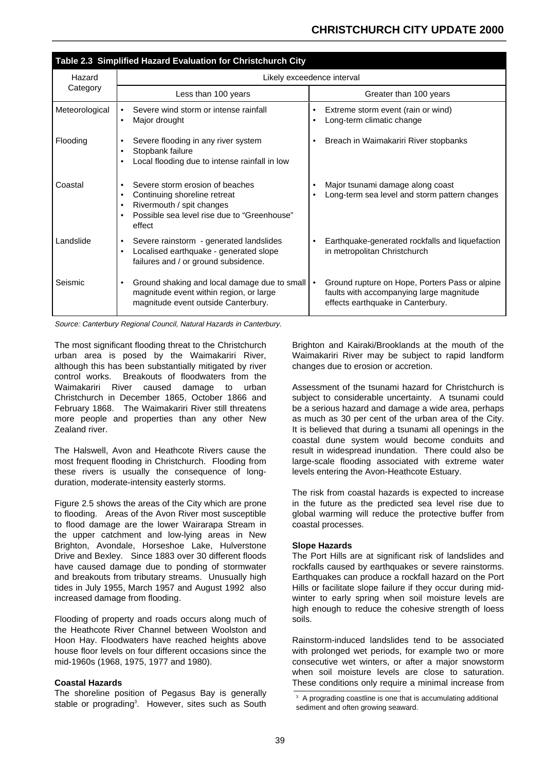| Table 2.3 Simplified Hazard Evaluation for Christchurch City |                                                                                                                                                                                                           |                                                                                                                                 |  |  |  |  |
|--------------------------------------------------------------|-----------------------------------------------------------------------------------------------------------------------------------------------------------------------------------------------------------|---------------------------------------------------------------------------------------------------------------------------------|--|--|--|--|
| Hazard                                                       | Likely exceedence interval                                                                                                                                                                                |                                                                                                                                 |  |  |  |  |
| Category                                                     | Less than 100 years                                                                                                                                                                                       | Greater than 100 years                                                                                                          |  |  |  |  |
| Meteorological                                               | Severe wind storm or intense rainfall<br>$\bullet$<br>Major drought<br>$\bullet$                                                                                                                          | Extreme storm event (rain or wind)<br>$\bullet$<br>Long-term climatic change                                                    |  |  |  |  |
| Flooding                                                     | Severe flooding in any river system<br>$\bullet$<br>Stopbank failure<br>$\bullet$<br>Local flooding due to intense rainfall in low<br>$\bullet$                                                           | Breach in Waimakariri River stopbanks                                                                                           |  |  |  |  |
| Coastal                                                      | Severe storm erosion of beaches<br>$\bullet$<br>Continuing shoreline retreat<br>$\bullet$<br>Rivermouth / spit changes<br>$\bullet$<br>Possible sea level rise due to "Greenhouse"<br>$\bullet$<br>effect | Major tsunami damage along coast<br>Long-term sea level and storm pattern changes                                               |  |  |  |  |
| Landslide                                                    | Severe rainstorm - generated landslides<br>$\bullet$<br>Localised earthquake - generated slope<br>$\bullet$<br>failures and / or ground subsidence.                                                       | Earthquake-generated rockfalls and liquefaction<br>in metropolitan Christchurch                                                 |  |  |  |  |
| Seismic                                                      | Ground shaking and local damage due to small   •<br>$\bullet$<br>magnitude event within region, or large<br>magnitude event outside Canterbury.                                                           | Ground rupture on Hope, Porters Pass or alpine<br>faults with accompanying large magnitude<br>effects earthquake in Canterbury. |  |  |  |  |

Source: Canterbury Regional Council, Natural Hazards in Canterbury.

The most significant flooding threat to the Christchurch urban area is posed by the Waimakariri River, although this has been substantially mitigated by river control works. Breakouts of floodwaters from the Waimakariri River caused damage to urban Christchurch in December 1865, October 1866 and February 1868. The Waimakariri River still threatens more people and properties than any other New Zealand river.

The Halswell, Avon and Heathcote Rivers cause the most frequent flooding in Christchurch. Flooding from these rivers is usually the consequence of longduration, moderate-intensity easterly storms.

Figure 2.5 shows the areas of the City which are prone to flooding. Areas of the Avon River most susceptible to flood damage are the lower Wairarapa Stream in the upper catchment and low-lying areas in New Brighton, Avondale, Horseshoe Lake, Hulverstone Drive and Bexley. Since 1883 over 30 different floods have caused damage due to ponding of stormwater and breakouts from tributary streams. Unusually high tides in July 1955, March 1957 and August 1992 also increased damage from flooding.

Flooding of property and roads occurs along much of the Heathcote River Channel between Woolston and Hoon Hay. Floodwaters have reached heights above house floor levels on four different occasions since the mid-1960s (1968, 1975, 1977 and 1980).

#### **Coastal Hazards**

The shoreline position of Pegasus Bay is generally stable or prograding<sup>3</sup>. However, sites such as South Brighton and Kairaki/Brooklands at the mouth of the Waimakariri River may be subject to rapid landform changes due to erosion or accretion.

Assessment of the tsunami hazard for Christchurch is subject to considerable uncertainty. A tsunami could be a serious hazard and damage a wide area, perhaps as much as 30 per cent of the urban area of the City. It is believed that during a tsunami all openings in the coastal dune system would become conduits and result in widespread inundation. There could also be large-scale flooding associated with extreme water levels entering the Avon-Heathcote Estuary.

The risk from coastal hazards is expected to increase in the future as the predicted sea level rise due to global warming will reduce the protective buffer from coastal processes.

#### **Slope Hazards**

The Port Hills are at significant risk of landslides and rockfalls caused by earthquakes or severe rainstorms. Earthquakes can produce a rockfall hazard on the Port Hills or facilitate slope failure if they occur during midwinter to early spring when soil moisture levels are high enough to reduce the cohesive strength of loess soils.

Rainstorm-induced landslides tend to be associated with prolonged wet periods, for example two or more consecutive wet winters, or after a major snowstorm when soil moisture levels are close to saturation. These conditions only require a minimal increase from

<sup>&</sup>lt;sup>3</sup> A prograding coastline is one that is accumulating additional sediment and often growing seaward.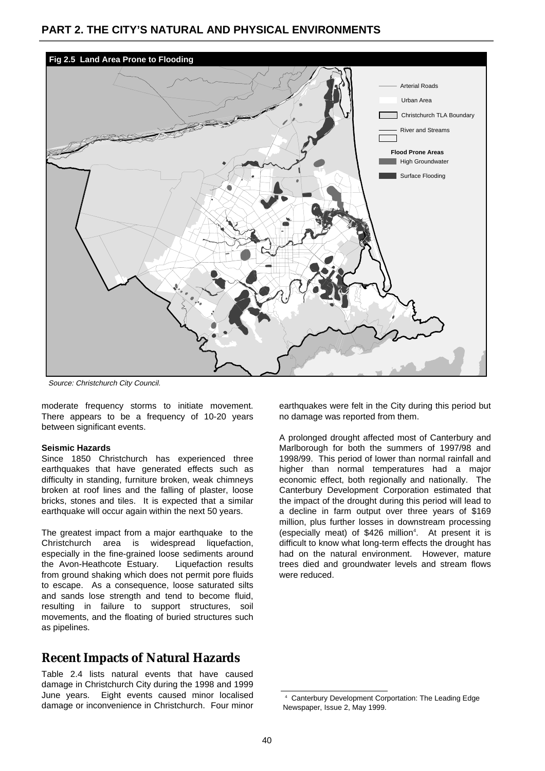

Source: Christchurch City Council.

moderate frequency storms to initiate movement. There appears to be a frequency of 10-20 years between significant events.

#### **Seismic Hazards**

Since 1850 Christchurch has experienced three earthquakes that have generated effects such as difficulty in standing, furniture broken, weak chimneys broken at roof lines and the falling of plaster, loose bricks, stones and tiles. It is expected that a similar earthquake will occur again within the next 50 years.

The greatest impact from a major earthquake to the Christchurch area is widespread liquefaction, especially in the fine-grained loose sediments around the Avon-Heathcote Estuary. Liquefaction results from ground shaking which does not permit pore fluids to escape. As a consequence, loose saturated silts and sands lose strength and tend to become fluid, resulting in failure to support structures, soil movements, and the floating of buried structures such as pipelines.

### **Recent Impacts of Natural Hazards**

Table 2.4 lists natural events that have caused damage in Christchurch City during the 1998 and 1999 June years. Eight events caused minor localised damage or inconvenience in Christchurch. Four minor earthquakes were felt in the City during this period but no damage was reported from them.

A prolonged drought affected most of Canterbury and Marlborough for both the summers of 1997/98 and 1998/99. This period of lower than normal rainfall and higher than normal temperatures had a major economic effect, both regionally and nationally. The [Canterbury Development Corporation](http://www.cdc.org.nz/) estimated that the impact of the drought during this period will lead to a decline in farm output over three years of \$169 million, plus further losses in downstream processing (especially meat) of \$426 million<sup>4</sup>. At present it is difficult to know what long-term effects the drought has had on the natural environment. However, mature trees died and groundwater levels and stream flows were reduced.

<sup>4</sup> [Canterbury Development Corportation:](http://www.cdc.org.nz/) The Leading Edge Newspaper, Issue 2, May 1999.